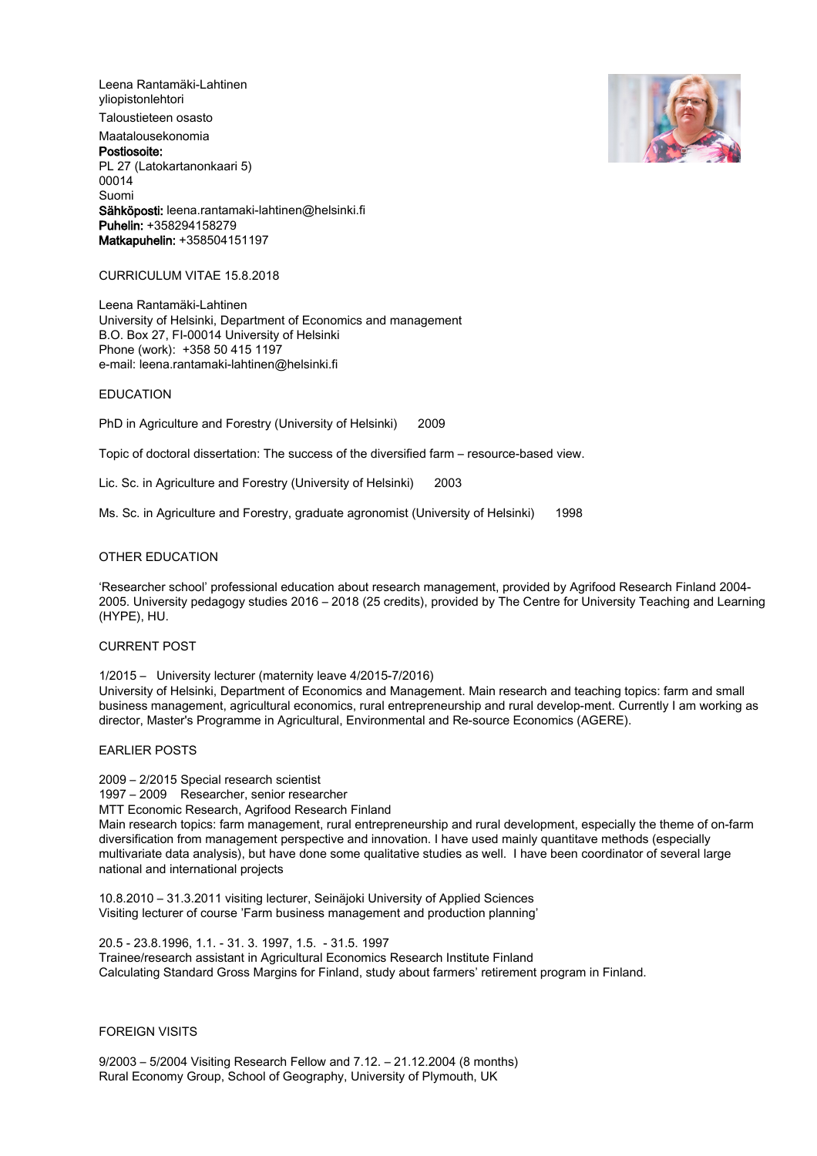Leena Rantamäki-Lahtinen yliopistonlehtori Taloustieteen osasto Maatalousekonomia Postiosoite: PL 27 (Latokartanonkaari 5) 00014 Suomi Sähköposti: leena.rantamaki-lahtinen@helsinki.fi Puhelin: +358294158279 Matkapuhelin: +358504151197



### CURRICULUM VITAE 15.8.2018

Leena Rantamäki-Lahtinen University of Helsinki, Department of Economics and management B.O. Box 27, FI-00014 University of Helsinki Phone (work): +358 50 415 1197 e-mail: leena.rantamaki-lahtinen@helsinki.fi

#### EDUCATION

PhD in Agriculture and Forestry (University of Helsinki) 2009

Topic of doctoral dissertation: The success of the diversified farm – resource-based view.

Lic. Sc. in Agriculture and Forestry (University of Helsinki) 2003

Ms. Sc. in Agriculture and Forestry, graduate agronomist (University of Helsinki) 1998

### OTHER EDUCATION

'Researcher school' professional education about research management, provided by Agrifood Research Finland 2004- 2005. University pedagogy studies 2016 – 2018 (25 credits), provided by The Centre for University Teaching and Learning (HYPE), HU.

#### CURRENT POST

1/2015 – University lecturer (maternity leave 4/2015-7/2016)

University of Helsinki, Department of Economics and Management. Main research and teaching topics: farm and small business management, agricultural economics, rural entrepreneurship and rural develop-ment. Currently I am working as director, Master's Programme in Agricultural, Environmental and Re-source Economics (AGERE).

#### EARLIER POSTS

2009 – 2/2015 Special research scientist 1997 – 2009 Researcher, senior researcher MTT Economic Research, Agrifood Research Finland Main research topics: farm management, rural entrepreneurship and rural development, especially the theme of on-farm diversification from management perspective and innovation. I have used mainly quantitave methods (especially multivariate data analysis), but have done some qualitative studies as well. I have been coordinator of several large national and international projects

10.8.2010 – 31.3.2011 visiting lecturer, Seinäjoki University of Applied Sciences Visiting lecturer of course 'Farm business management and production planning'

20.5 - 23.8.1996, 1.1. - 31. 3. 1997, 1.5. - 31.5. 1997 Trainee/research assistant in Agricultural Economics Research Institute Finland Calculating Standard Gross Margins for Finland, study about farmers' retirement program in Finland.

# FOREIGN VISITS

9/2003 – 5/2004 Visiting Research Fellow and 7.12. – 21.12.2004 (8 months) Rural Economy Group, School of Geography, University of Plymouth, UK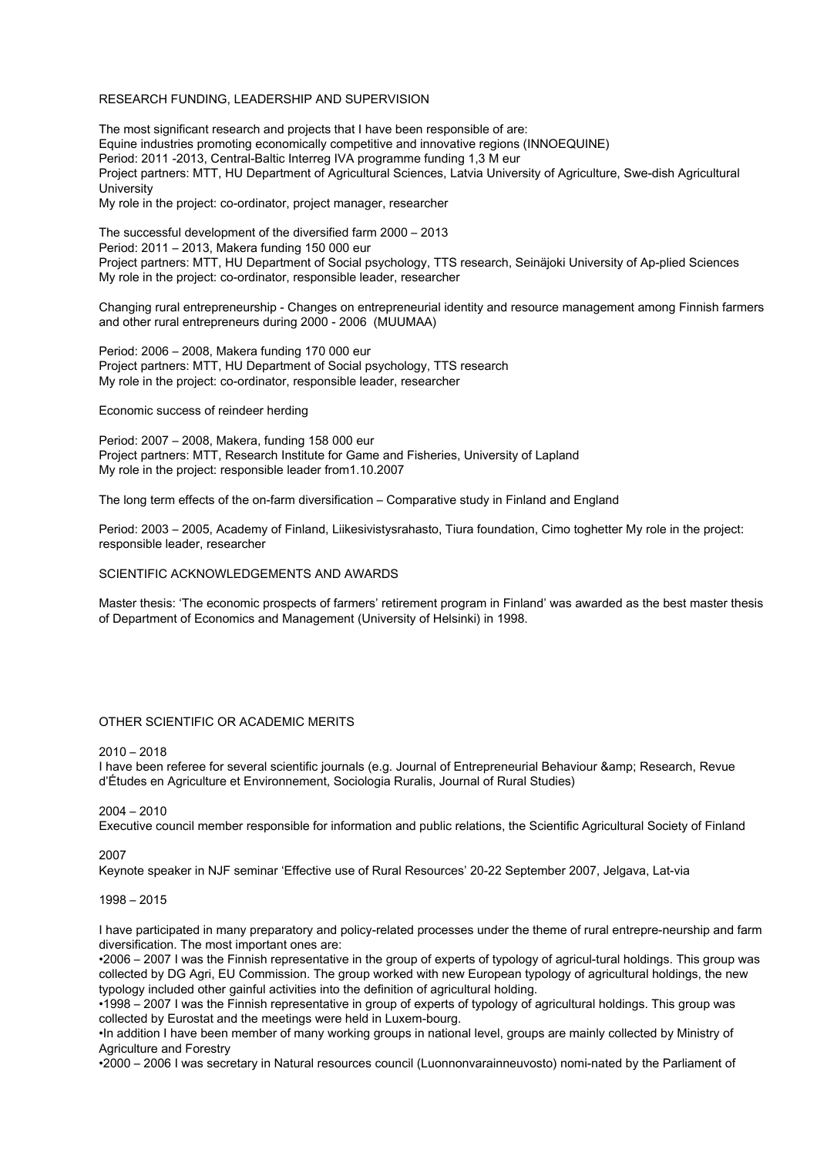### RESEARCH FUNDING, LEADERSHIP AND SUPERVISION

The most significant research and projects that I have been responsible of are: Equine industries promoting economically competitive and innovative regions (INNOEQUINE) Period: 2011 -2013, Central-Baltic Interreg IVA programme funding 1,3 M eur Project partners: MTT, HU Department of Agricultural Sciences, Latvia University of Agriculture, Swe-dish Agricultural University My role in the project: co-ordinator, project manager, researcher

The successful development of the diversified farm 2000 – 2013 Period: 2011 – 2013, Makera funding 150 000 eur Project partners: MTT, HU Department of Social psychology, TTS research, Seinäjoki University of Ap-plied Sciences My role in the project: co-ordinator, responsible leader, researcher

Changing rural entrepreneurship - Changes on entrepreneurial identity and resource management among Finnish farmers and other rural entrepreneurs during 2000 - 2006 (MUUMAA)

Period: 2006 – 2008, Makera funding 170 000 eur Project partners: MTT, HU Department of Social psychology, TTS research My role in the project: co-ordinator, responsible leader, researcher

Economic success of reindeer herding

Period: 2007 – 2008, Makera, funding 158 000 eur Project partners: MTT, Research Institute for Game and Fisheries, University of Lapland My role in the project: responsible leader from1.10.2007

The long term effects of the on-farm diversification – Comparative study in Finland and England

Period: 2003 – 2005, Academy of Finland, Liikesivistysrahasto, Tiura foundation, Cimo toghetter My role in the project: responsible leader, researcher

### SCIENTIFIC ACKNOWLEDGEMENTS AND AWARDS

Master thesis: 'The economic prospects of farmers' retirement program in Finland' was awarded as the best master thesis of Department of Economics and Management (University of Helsinki) in 1998.

### OTHER SCIENTIFIC OR ACADEMIC MERITS

2010 – 2018

I have been referee for several scientific journals (e.g. Journal of Entrepreneurial Behaviour & amp; Research, Revue d'Études en Agriculture et Environnement, Sociologia Ruralis, Journal of Rural Studies)

#### 2004 – 2010

Executive council member responsible for information and public relations, the Scientific Agricultural Society of Finland

2007

Keynote speaker in NJF seminar 'Effective use of Rural Resources' 20-22 September 2007, Jelgava, Lat-via

## 1998 – 2015

I have participated in many preparatory and policy-related processes under the theme of rural entrepre-neurship and farm diversification. The most important ones are:

•2006 – 2007 I was the Finnish representative in the group of experts of typology of agricul-tural holdings. This group was collected by DG Agri, EU Commission. The group worked with new European typology of agricultural holdings, the new typology included other gainful activities into the definition of agricultural holding.

•1998 – 2007 I was the Finnish representative in group of experts of typology of agricultural holdings. This group was collected by Eurostat and the meetings were held in Luxem-bourg.

•In addition I have been member of many working groups in national level, groups are mainly collected by Ministry of Agriculture and Forestry

•2000 – 2006 I was secretary in Natural resources council (Luonnonvarainneuvosto) nomi-nated by the Parliament of